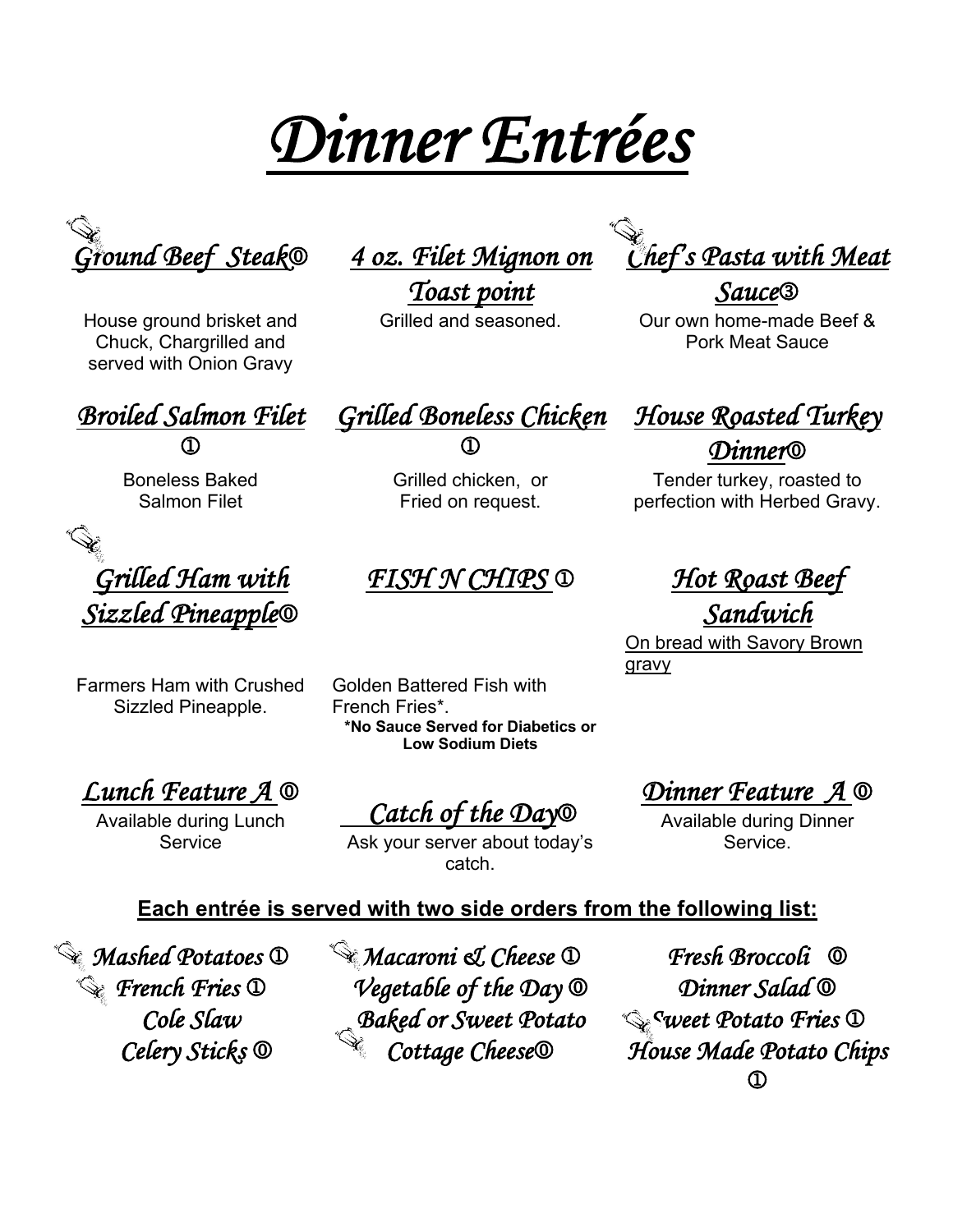*Dinner Entrées* 



House ground brisket and Chuck, Chargrilled and served with Onion Gravy

*Ground Beef Steak*0 *4 oz. Filet Mignon on* 

*Toast point*

*Broiled Salmon Filet*  $\bigcirc$ 

Boneless Baked Salmon Filet

*Grilled Ham with Sizzled Pineapple*0

Farmers Ham with Crushed Sizzled Pineapple.

*Grilled Boneless Chicken*  $\bigcirc$ 

Grilled chicken, or Fried on request.

### *FISH N CHIPS* 1 *Hot Roast Beef*

Golden Battered Fish with French Fries\*. **\*No Sauce Served for Diabetics or Low Sodium Diets**

*Lunch Feature A* 0

Available during Lunch Service

 *Catch of the Day*0

Ask your server about today's catch.

*Chef's Pasta with Meat* 

*Sauce*3

Grilled and seasoned. Our own home-made Beef & Pork Meat Sauce

*House Roasted Turkey Dinner*0

Tender turkey, roasted to perfection with Herbed Gravy.

*Sandwich* 

**On bread with Savory Brown** gravy

*Dinner Feature A* 0

Available during Dinner Service.

#### **Each entrée is served with two side orders from the following list:**

*Mashed Potatoes* 1 *Macaroni & Cheese* 1 *Fresh Broccoli* 0 *French Fries* 1 *Vegetable of the Day* 0 *Dinner Salad* 0 *Cole Slaw Baked or Sweet Potato Sweet Potato Fries* **1** 

 *Celery Sticks* 0 *Cottage Cheese*0 *House Made Potato Chips*  1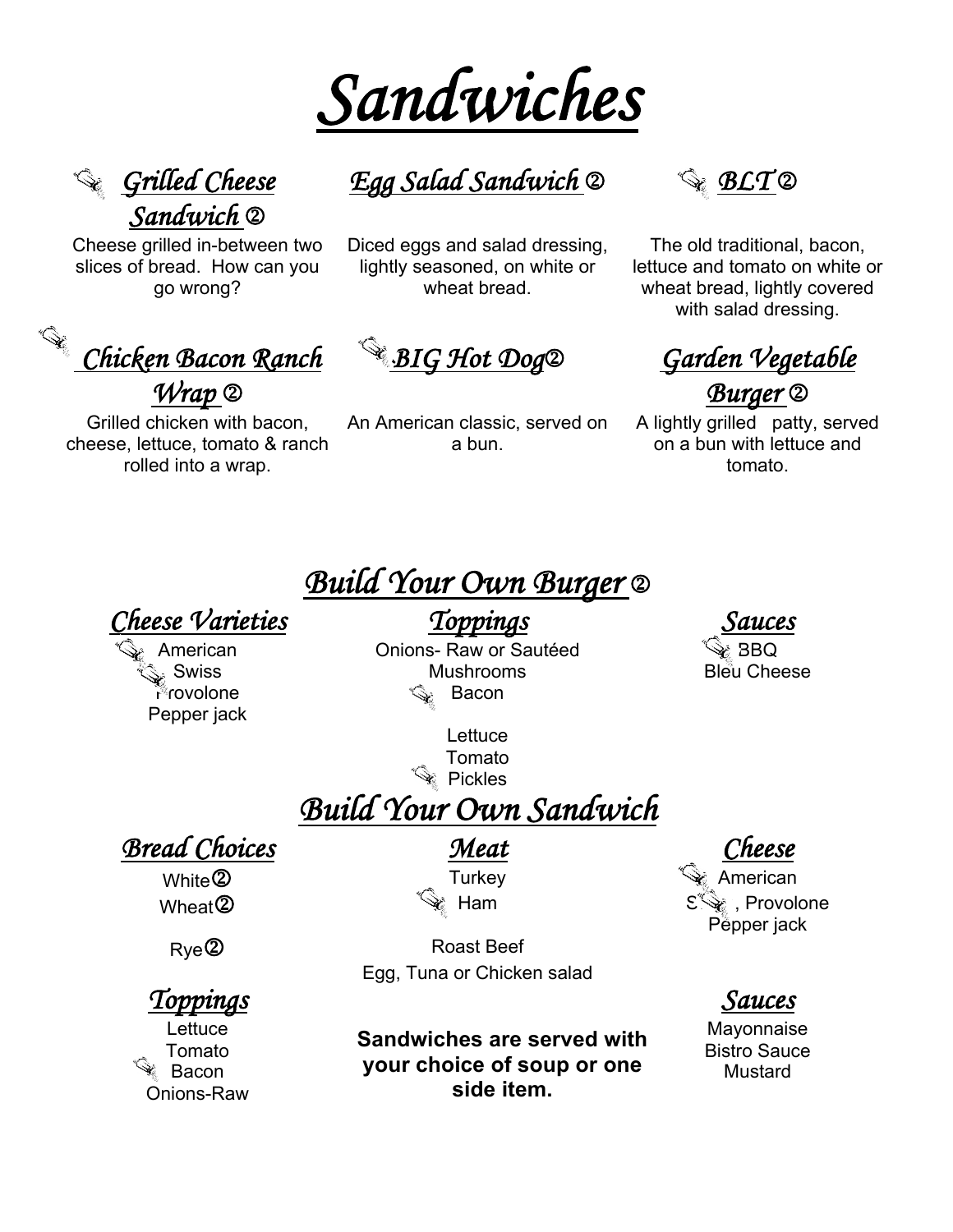



Cheese grilled in-between two slices of bread. How can you go wrong?

 *Chicken Bacon Ranch Wrap* 2

Grilled chicken with bacon, cheese, lettuce, tomato & ranch rolled into a wrap.

*Egg Salad Sandwich* 2 *BLT* 2

Diced eggs and salad dressing, lightly seasoned, on white or wheat bread.

An American classic, served on a bun.



The old traditional, bacon, lettuce and tomato on white or wheat bread, lightly covered with salad dressing.

*BIG Hot Dog*2 *Garden Vegetable Burger* 2

A lightly grilled patty, served on a bun with lettuce and tomato.

# *Build Your Own Burger* 2

### *Cheese Varieties Toppings Sauces*

Provolone Pepper jack

American **Christian Christian Christian Christian** Christian Christian Christian Christian Christian Christian C Swiss Mushrooms Bleu Cheese Bacon

> **Lettuce** Tomato **Pickles**

*Build Your Own Sandwich*

*Bread Choices Meat* 

*Toppings Sauces*

Onions-Raw

Rye<sup>2</sup> Roast Beef Egg, Tuna or Chicken salad

Lettuce Mayonnaise **Sandwiches are served with**  Tomato **Candwiches are served with Bistro Sauce** Bacon **Mustard Mustard School School School School School School School School School School School School Schoo side item.**

White $\bigcirc$  Most and  $\bigcirc$  Turkey  $\qquad \qquad \bullet$  American Wheat 2  $\mathbb{R}$  Ham  $\mathbb{S}\$ , Provolone Pepper jack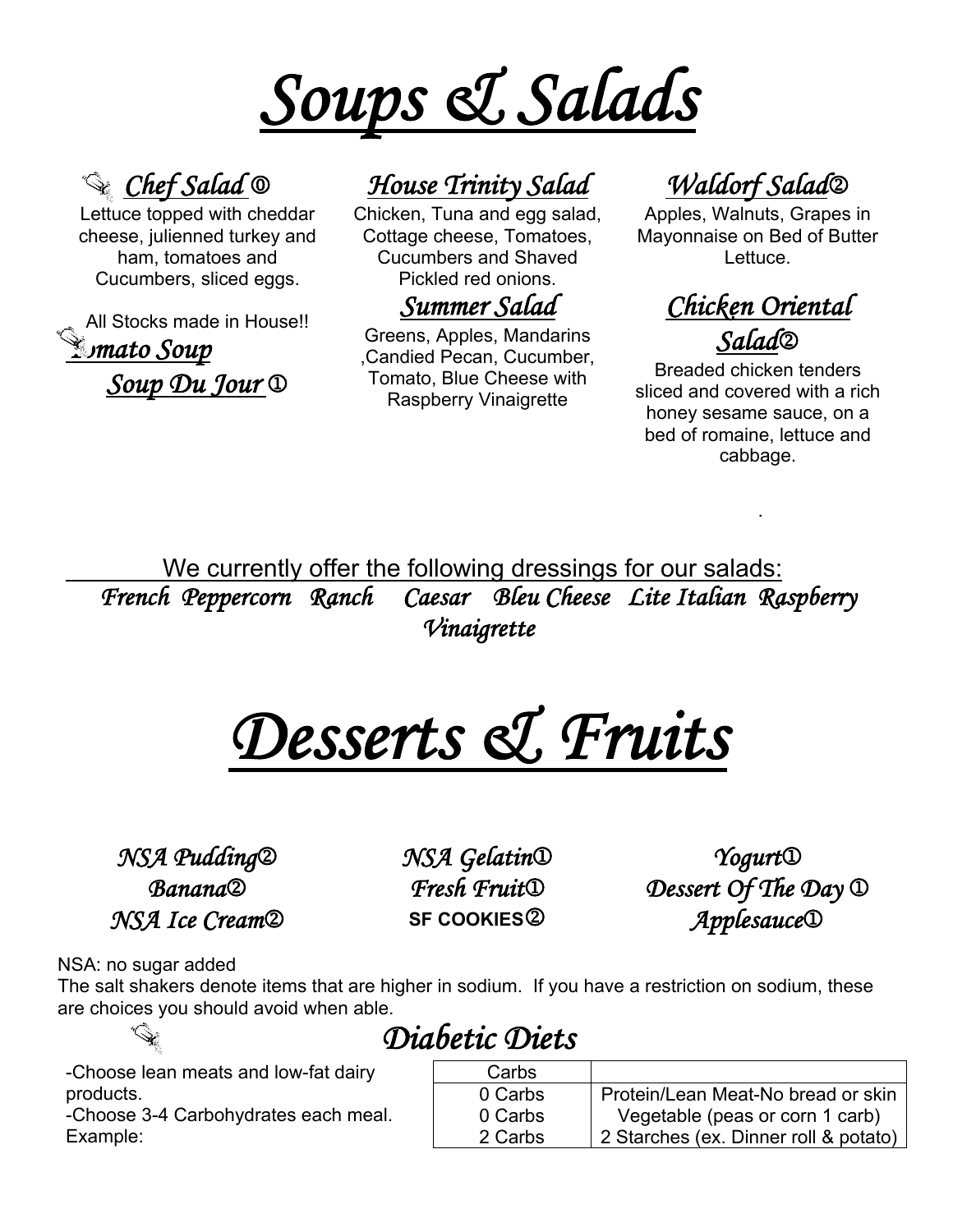



Lettuce topped with cheddar cheese, julienned turkey and ham, tomatoes and Cucumbers, sliced eggs.

All Stocks made in House!! *Tomato Soup Soup Du Jour*  $\mathbb{D}$ 

# *Chef Salad* 0 *House Trinity Salad Waldorf Salad*2

Chicken, Tuna and egg salad, Cottage cheese, Tomatoes, Cucumbers and Shaved Pickled red onions.

### *Summer Salad*

Greens, Apples, Mandarins ,Candied Pecan, Cucumber, Tomato, Blue Cheese with Raspberry Vinaigrette

Apples, Walnuts, Grapes in Mayonnaise on Bed of Butter Lettuce.

# *Chicken Oriental Salad*2

Breaded chicken tenders sliced and covered with a rich honey sesame sauce, on a bed of romaine, lettuce and cabbage.

.

We currently offer the following dressings for our salads: *French Peppercorn Ranch Caesar Bleu Cheese Lite Italian Raspberry Vinaigrette* 

*Desserts & Fruits* 

*NSA Pudding*2 *NSA Gelatin*1 *Yogurt*1

**Banana**<sup>2</sup> *Fresh Fruit***<sup>1</sup>** *Dessert Of The Day* **<sup>1</sup>** *NSA Ice Cream*2 **SF COOKIES**2 *Applesauce*1

NSA: no sugar added

The salt shakers denote items that are higher in sodium. If you have a restriction on sodium, these are choices you should avoid when able.

*Diabetic Diets* 

-Choose lean meats and low-fat dairy products.

-Choose 3-4 Carbohydrates each meal. Example:

| Carbs   |                                       |
|---------|---------------------------------------|
| 0 Carbs | Protein/Lean Meat-No bread or skin    |
| 0 Carbs | Vegetable (peas or corn 1 carb)       |
| 2 Carbs | 2 Starches (ex. Dinner roll & potato) |